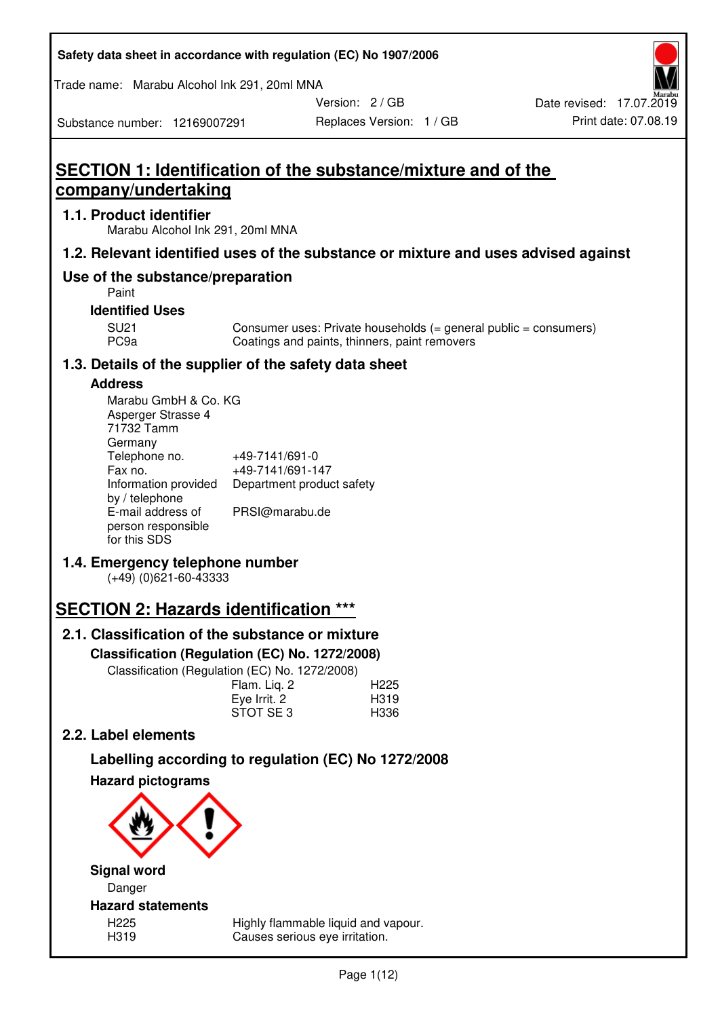| Safety data sheet in accordance with regulation (EC) No 1907/2006 |  |
|-------------------------------------------------------------------|--|
|-------------------------------------------------------------------|--|

Trade name: Marabu Alcohol Ink 291, 20ml MNA

Version: 2 / GB

Replaces Version: 1 / GB Print date: 07.08.19 Date revised: 17.07.2019

Substance number: 12169007291

# **SECTION 1: Identification of the substance/mixture and of the company/undertaking**

# **1.1. Product identifier**

Marabu Alcohol Ink 291, 20ml MNA

# **1.2. Relevant identified uses of the substance or mixture and uses advised against**

# **Use of the substance/preparation**

Paint

## **Identified Uses**

SU21 Consumer uses: Private households (= general public = consumers)<br>PC9a Coatings and paints, thinners, paint removers Coatings and paints, thinners, paint removers

# **1.3. Details of the supplier of the safety data sheet**

# **Address**

| Marabu GmbH & Co. KG |                           |
|----------------------|---------------------------|
| Asperger Strasse 4   |                           |
| 71732 Tamm           |                           |
| Germany              |                           |
| Telephone no.        | +49-7141/691-0            |
| Fax no.              | +49-7141/691-147          |
| Information provided | Department product safety |
| by / telephone       |                           |
| E-mail address of    | PRSI@marabu.de            |
| person responsible   |                           |
| for this SDS         |                           |

# **1.4. Emergency telephone number**

(+49) (0)621-60-43333

# **SECTION 2: Hazards identification \*\*\***

# **2.1. Classification of the substance or mixture**

**Classification (Regulation (EC) No. 1272/2008)** 

Classification (Regulation (EC) No. 1272/2008)

|              | . |                  |
|--------------|---|------------------|
| Flam. Liq. 2 |   | H <sub>225</sub> |
| Eye Irrit. 2 |   | H319             |
| STOT SE3     |   | H336             |
|              |   |                  |

# **2.2. Label elements**

# **Labelling according to regulation (EC) No 1272/2008**



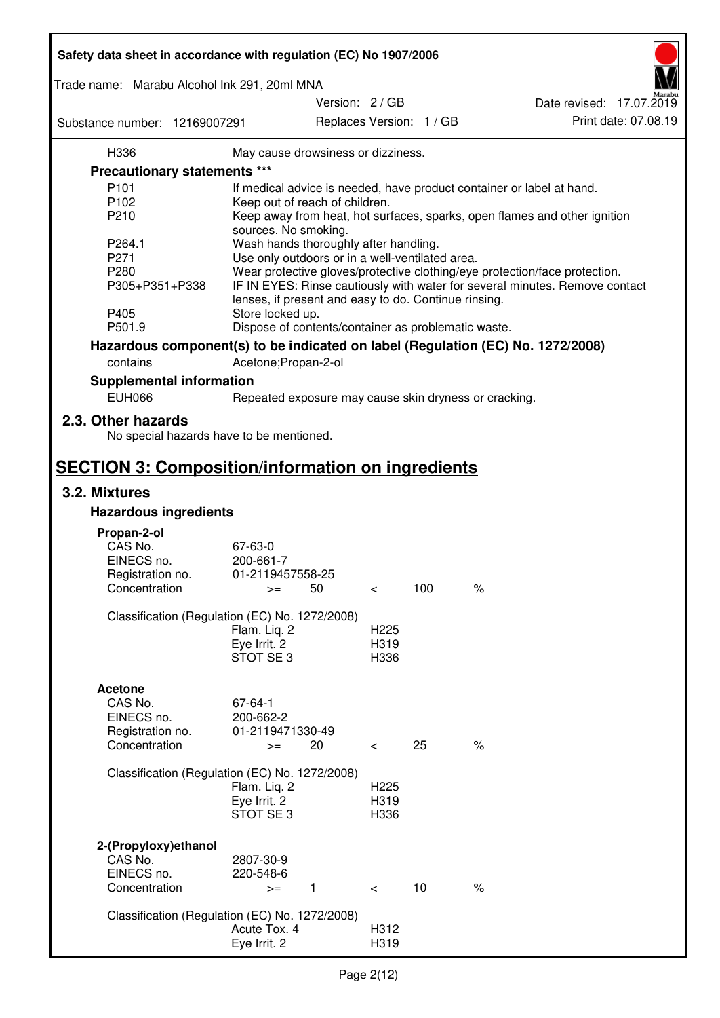| Safety data sheet in accordance with regulation (EC) No 1907/2006 |                                                       |                          |     |                                                                                 |
|-------------------------------------------------------------------|-------------------------------------------------------|--------------------------|-----|---------------------------------------------------------------------------------|
| Trade name: Marabu Alcohol Ink 291, 20ml MNA                      |                                                       |                          |     |                                                                                 |
|                                                                   |                                                       | Version: 2 / GB          |     | Date revised: 17.07.2019                                                        |
| Substance number: 12169007291                                     |                                                       | Replaces Version: 1 / GB |     | Print date: 07.08.19                                                            |
| H336                                                              | May cause drowsiness or dizziness.                    |                          |     |                                                                                 |
| Precautionary statements ***                                      |                                                       |                          |     |                                                                                 |
| P <sub>101</sub>                                                  |                                                       |                          |     | If medical advice is needed, have product container or label at hand.           |
| P102                                                              | Keep out of reach of children.                        |                          |     |                                                                                 |
| P210                                                              |                                                       |                          |     | Keep away from heat, hot surfaces, sparks, open flames and other ignition       |
|                                                                   | sources. No smoking.                                  |                          |     |                                                                                 |
| P264.1                                                            | Wash hands thoroughly after handling.                 |                          |     |                                                                                 |
| P271                                                              | Use only outdoors or in a well-ventilated area.       |                          |     |                                                                                 |
| P280                                                              |                                                       |                          |     | Wear protective gloves/protective clothing/eye protection/face protection.      |
| P305+P351+P338                                                    | lenses, if present and easy to do. Continue rinsing.  |                          |     | IF IN EYES: Rinse cautiously with water for several minutes. Remove contact     |
| P405                                                              | Store locked up.                                      |                          |     |                                                                                 |
| P501.9                                                            | Dispose of contents/container as problematic waste.   |                          |     |                                                                                 |
|                                                                   |                                                       |                          |     | Hazardous component(s) to be indicated on label (Regulation (EC) No. 1272/2008) |
| contains                                                          | Acetone; Propan-2-ol                                  |                          |     |                                                                                 |
| <b>Supplemental information</b>                                   |                                                       |                          |     |                                                                                 |
| <b>EUH066</b>                                                     | Repeated exposure may cause skin dryness or cracking. |                          |     |                                                                                 |
| 2.3. Other hazards<br>No special hazards have to be mentioned.    |                                                       |                          |     |                                                                                 |
| <b>SECTION 3: Composition/information on ingredients</b>          |                                                       |                          |     |                                                                                 |
| 3.2. Mixtures                                                     |                                                       |                          |     |                                                                                 |
| <b>Hazardous ingredients</b>                                      |                                                       |                          |     |                                                                                 |
|                                                                   |                                                       |                          |     |                                                                                 |
| Propan-2-ol                                                       |                                                       |                          |     |                                                                                 |
| CAS No.<br>EINECS no.                                             | 67-63-0<br>200-661-7                                  |                          |     |                                                                                 |
| Registration no.                                                  | 01-2119457558-25                                      |                          |     |                                                                                 |
| Concentration                                                     | 50<br>$>=$                                            | $\,<\,$                  | 100 | $\%$                                                                            |
|                                                                   |                                                       |                          |     |                                                                                 |
|                                                                   | Classification (Regulation (EC) No. 1272/2008)        |                          |     |                                                                                 |
|                                                                   | Flam. Liq. 2                                          | H <sub>225</sub>         |     |                                                                                 |
|                                                                   | Eye Irrit. 2                                          | H319                     |     |                                                                                 |
|                                                                   | STOT SE3                                              | H336                     |     |                                                                                 |
|                                                                   |                                                       |                          |     |                                                                                 |
| <b>Acetone</b>                                                    |                                                       |                          |     |                                                                                 |
| CAS No.                                                           | 67-64-1                                               |                          |     |                                                                                 |
| EINECS no.                                                        | 200-662-2                                             |                          |     |                                                                                 |
| Registration no.                                                  | 01-2119471330-49                                      |                          |     |                                                                                 |
| Concentration                                                     | 20<br>$>=$                                            | $\overline{\phantom{0}}$ | 25  | $\%$                                                                            |
|                                                                   |                                                       |                          |     |                                                                                 |
|                                                                   | Classification (Regulation (EC) No. 1272/2008)        |                          |     |                                                                                 |
|                                                                   | Flam. Liq. 2                                          | H <sub>225</sub>         |     |                                                                                 |
|                                                                   | Eye Irrit. 2                                          | H319                     |     |                                                                                 |
|                                                                   | STOT SE 3                                             | H336                     |     |                                                                                 |
|                                                                   |                                                       |                          |     |                                                                                 |
| 2-(Propyloxy) ethanol<br>CAS No.                                  | 2807-30-9                                             |                          |     |                                                                                 |
| EINECS no.                                                        | 220-548-6                                             |                          |     |                                                                                 |
| Concentration                                                     | 1<br>$>=$                                             | $\prec$                  | 10  | $\%$                                                                            |
|                                                                   |                                                       |                          |     |                                                                                 |
|                                                                   | Classification (Regulation (EC) No. 1272/2008)        |                          |     |                                                                                 |
|                                                                   | Acute Tox. 4                                          | H312                     |     |                                                                                 |
|                                                                   | Eye Irrit. 2                                          | H319                     |     |                                                                                 |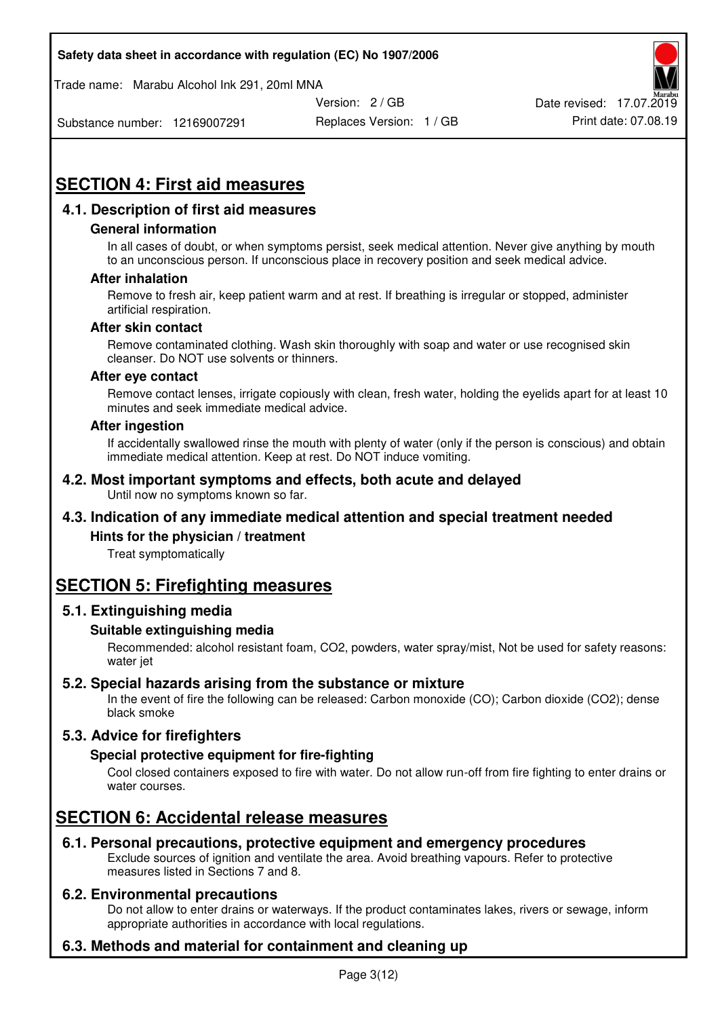Trade name: Marabu Alcohol Ink 291, 20ml MNA



Substance number: 12169007291

Replaces Version: 1 / GB Print date: 07.08.19

# **SECTION 4: First aid measures**

# **4.1. Description of first aid measures**

#### **General information**

In all cases of doubt, or when symptoms persist, seek medical attention. Never give anything by mouth to an unconscious person. If unconscious place in recovery position and seek medical advice.

#### **After inhalation**

Remove to fresh air, keep patient warm and at rest. If breathing is irregular or stopped, administer artificial respiration.

#### **After skin contact**

Remove contaminated clothing. Wash skin thoroughly with soap and water or use recognised skin cleanser. Do NOT use solvents or thinners.

#### **After eye contact**

Remove contact lenses, irrigate copiously with clean, fresh water, holding the eyelids apart for at least 10 minutes and seek immediate medical advice.

#### **After ingestion**

If accidentally swallowed rinse the mouth with plenty of water (only if the person is conscious) and obtain immediate medical attention. Keep at rest. Do NOT induce vomiting.

#### **4.2. Most important symptoms and effects, both acute and delayed**  Until now no symptoms known so far.

# **4.3. Indication of any immediate medical attention and special treatment needed**

#### **Hints for the physician / treatment**

Treat symptomatically

# **SECTION 5: Firefighting measures**

#### **5.1. Extinguishing media**

#### **Suitable extinguishing media**

Recommended: alcohol resistant foam, CO2, powders, water spray/mist, Not be used for safety reasons: water jet

#### **5.2. Special hazards arising from the substance or mixture**

In the event of fire the following can be released: Carbon monoxide (CO); Carbon dioxide (CO2); dense black smoke

# **5.3. Advice for firefighters**

#### **Special protective equipment for fire-fighting**

Cool closed containers exposed to fire with water. Do not allow run-off from fire fighting to enter drains or water courses.

# **SECTION 6: Accidental release measures**

#### **6.1. Personal precautions, protective equipment and emergency procedures**

Exclude sources of ignition and ventilate the area. Avoid breathing vapours. Refer to protective measures listed in Sections 7 and 8.

#### **6.2. Environmental precautions**

Do not allow to enter drains or waterways. If the product contaminates lakes, rivers or sewage, inform appropriate authorities in accordance with local regulations.

# **6.3. Methods and material for containment and cleaning up**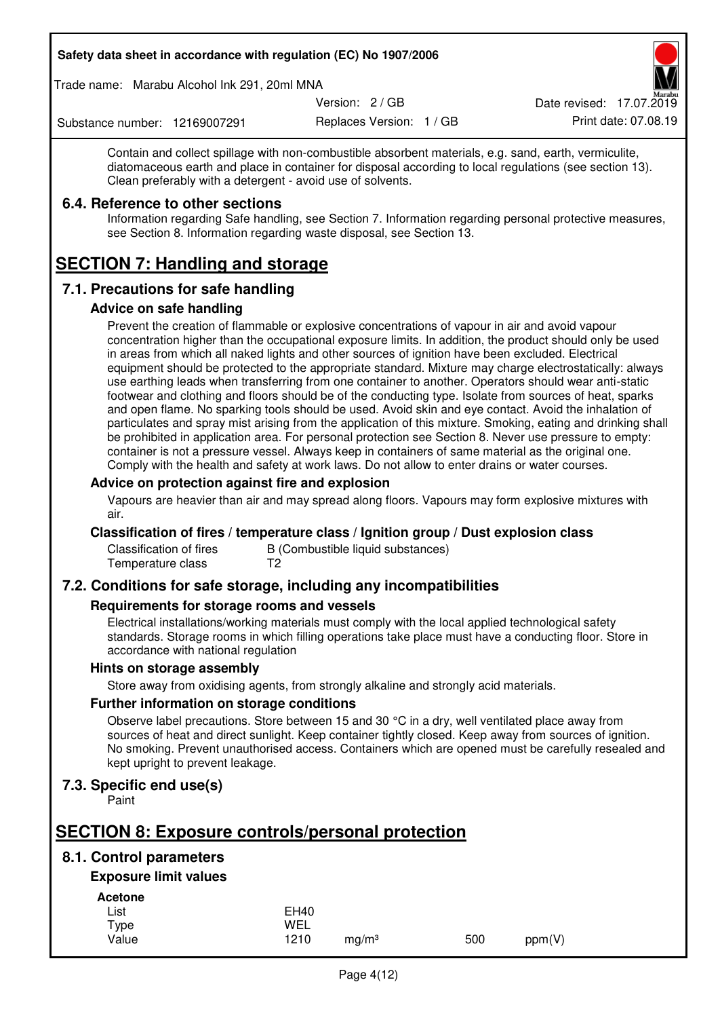Trade name: Marabu Alcohol Ink 291, 20ml MNA

Version: 2 / GB

Replaces Version: 1 / GB Print date: 07.08.19 Date revised: 17.07.2019

Substance number: 12169007291

Contain and collect spillage with non-combustible absorbent materials, e.g. sand, earth, vermiculite, diatomaceous earth and place in container for disposal according to local regulations (see section 13). Clean preferably with a detergent - avoid use of solvents.

# **6.4. Reference to other sections**

Information regarding Safe handling, see Section 7. Information regarding personal protective measures, see Section 8. Information regarding waste disposal, see Section 13.

# **SECTION 7: Handling and storage**

# **7.1. Precautions for safe handling**

#### **Advice on safe handling**

Prevent the creation of flammable or explosive concentrations of vapour in air and avoid vapour concentration higher than the occupational exposure limits. In addition, the product should only be used in areas from which all naked lights and other sources of ignition have been excluded. Electrical equipment should be protected to the appropriate standard. Mixture may charge electrostatically: always use earthing leads when transferring from one container to another. Operators should wear anti-static footwear and clothing and floors should be of the conducting type. Isolate from sources of heat, sparks and open flame. No sparking tools should be used. Avoid skin and eye contact. Avoid the inhalation of particulates and spray mist arising from the application of this mixture. Smoking, eating and drinking shall be prohibited in application area. For personal protection see Section 8. Never use pressure to empty: container is not a pressure vessel. Always keep in containers of same material as the original one. Comply with the health and safety at work laws. Do not allow to enter drains or water courses.

#### **Advice on protection against fire and explosion**

Vapours are heavier than air and may spread along floors. Vapours may form explosive mixtures with air.

#### **Classification of fires / temperature class / Ignition group / Dust explosion class**

Classification of fires B (Combustible liquid substances)<br>Temperature class T2 Temperature class

# **7.2. Conditions for safe storage, including any incompatibilities**

#### **Requirements for storage rooms and vessels**

Electrical installations/working materials must comply with the local applied technological safety standards. Storage rooms in which filling operations take place must have a conducting floor. Store in accordance with national regulation

#### **Hints on storage assembly**

Store away from oxidising agents, from strongly alkaline and strongly acid materials.

#### **Further information on storage conditions**

Observe label precautions. Store between 15 and 30 °C in a dry, well ventilated place away from sources of heat and direct sunlight. Keep container tightly closed. Keep away from sources of ignition. No smoking. Prevent unauthorised access. Containers which are opened must be carefully resealed and kept upright to prevent leakage.

#### **7.3. Specific end use(s)**

Paint

# **SECTION 8: Exposure controls/personal protection**

# **8.1. Control parameters**

# **Exposure limit values**

**Acetone** 

| - - - - - - - - |             |                   |     |        |
|-----------------|-------------|-------------------|-----|--------|
| List            | <b>EH40</b> |                   |     |        |
| Type            | WEL         |                   |     |        |
| Value           | 1210        | ma/m <sup>3</sup> | 500 | ppm(V) |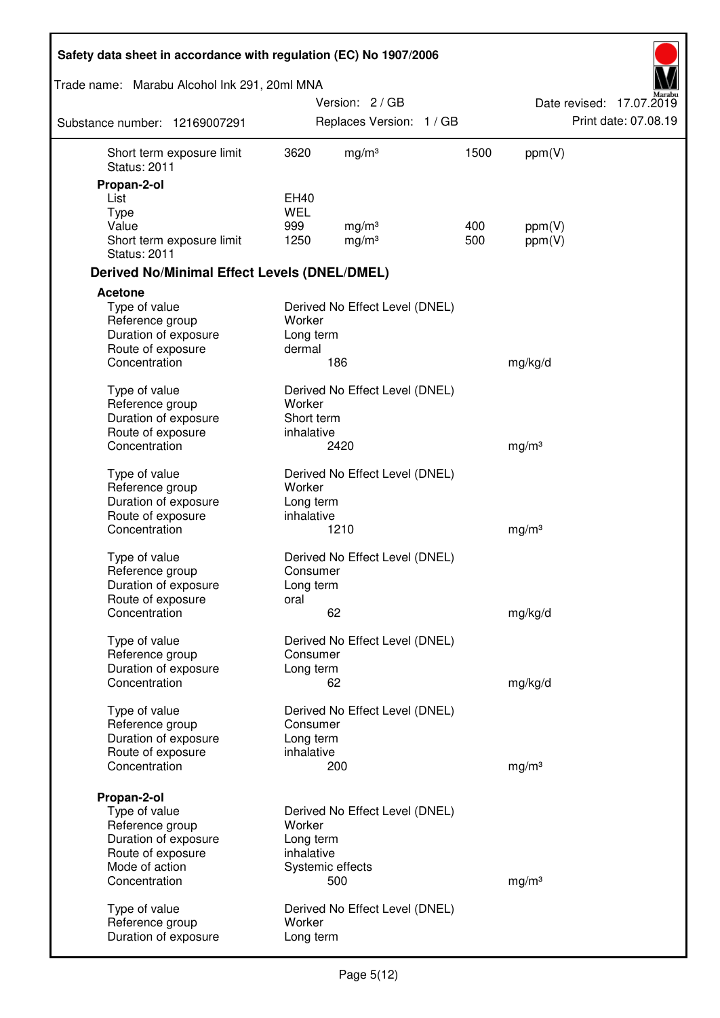| Safety data sheet in accordance with regulation (EC) No 1907/2006                            |                                     |                                        |            |                   |                          |
|----------------------------------------------------------------------------------------------|-------------------------------------|----------------------------------------|------------|-------------------|--------------------------|
| Trade name: Marabu Alcohol Ink 291, 20ml MNA                                                 |                                     |                                        |            |                   |                          |
|                                                                                              |                                     | Version: 2/GB                          |            |                   | Date revised: 17.07.2019 |
| Substance number: 12169007291                                                                |                                     | Replaces Version: 1 / GB               |            |                   | Print date: 07.08.19     |
| Short term exposure limit<br><b>Status: 2011</b>                                             | 3620                                | mg/m <sup>3</sup>                      | 1500       | ppm(V)            |                          |
| Propan-2-ol                                                                                  |                                     |                                        |            |                   |                          |
| List                                                                                         | EH40                                |                                        |            |                   |                          |
| <b>Type</b>                                                                                  | <b>WEL</b>                          |                                        |            |                   |                          |
| Value<br>Short term exposure limit<br><b>Status: 2011</b>                                    | 999<br>1250                         | mg/m <sup>3</sup><br>mg/m <sup>3</sup> | 400<br>500 | ppm(V)<br>ppm(V)  |                          |
| <b>Derived No/Minimal Effect Levels (DNEL/DMEL)</b>                                          |                                     |                                        |            |                   |                          |
| Acetone                                                                                      |                                     |                                        |            |                   |                          |
| Type of value<br>Reference group<br>Duration of exposure<br>Route of exposure                | Worker<br>Long term<br>dermal       | Derived No Effect Level (DNEL)         |            |                   |                          |
| Concentration                                                                                |                                     | 186                                    |            | mg/kg/d           |                          |
| Type of value<br>Reference group<br>Duration of exposure<br>Route of exposure                | Worker<br>Short term<br>inhalative  | Derived No Effect Level (DNEL)         |            |                   |                          |
| Concentration                                                                                |                                     | 2420                                   |            | mg/m <sup>3</sup> |                          |
| Type of value<br>Reference group<br>Duration of exposure<br>Route of exposure                | Worker<br>Long term<br>inhalative   | Derived No Effect Level (DNEL)         |            |                   |                          |
| Concentration                                                                                |                                     | 1210                                   |            | mg/m <sup>3</sup> |                          |
| Type of value<br>Reference group<br>Duration of exposure<br>Route of exposure                | Consumer<br>Long term<br>oral       | Derived No Effect Level (DNEL)         |            |                   |                          |
| Concentration                                                                                |                                     | 62                                     |            | mg/kg/d           |                          |
| Type of value<br>Reference group<br>Duration of exposure                                     | Consumer<br>Long term               | Derived No Effect Level (DNEL)         |            |                   |                          |
| Concentration                                                                                |                                     | 62                                     |            | mg/kg/d           |                          |
| Type of value<br>Reference group<br>Duration of exposure<br>Route of exposure                | Consumer<br>Long term<br>inhalative | Derived No Effect Level (DNEL)         |            |                   |                          |
| Concentration                                                                                |                                     | 200                                    |            | mg/m <sup>3</sup> |                          |
| Propan-2-ol<br>Type of value<br>Reference group<br>Duration of exposure<br>Route of exposure | Worker<br>Long term<br>inhalative   | Derived No Effect Level (DNEL)         |            |                   |                          |
| Mode of action<br>Concentration                                                              |                                     | Systemic effects<br>500                |            | mg/m <sup>3</sup> |                          |
| Type of value<br>Reference group<br>Duration of exposure                                     | Worker<br>Long term                 | Derived No Effect Level (DNEL)         |            |                   |                          |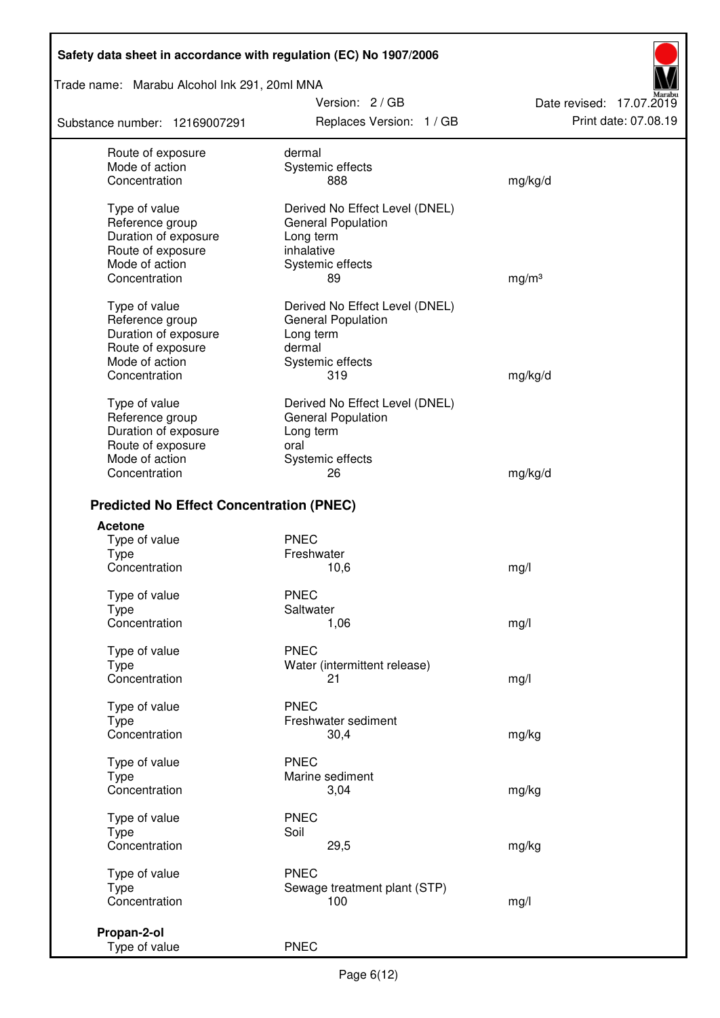Trade name: Marabu Alcohol Ink 291, 20ml MNA

Substance number: 12169007291

Version: 2 / GB Replaces Version: 1 / GB Print date: 07.08.19

Date revised: 17.07.2019

| Route of exposure                               | dermal                         |                   |
|-------------------------------------------------|--------------------------------|-------------------|
| Mode of action                                  | Systemic effects               |                   |
| Concentration                                   | 888                            | mg/kg/d           |
|                                                 |                                |                   |
| Type of value                                   | Derived No Effect Level (DNEL) |                   |
| Reference group                                 | <b>General Population</b>      |                   |
| Duration of exposure                            | Long term                      |                   |
| Route of exposure                               | inhalative                     |                   |
| Mode of action                                  | Systemic effects               |                   |
| Concentration                                   | 89                             | mg/m <sup>3</sup> |
|                                                 |                                |                   |
| Type of value                                   | Derived No Effect Level (DNEL) |                   |
| Reference group                                 | General Population             |                   |
| Duration of exposure                            | Long term                      |                   |
| Route of exposure                               | dermal                         |                   |
| Mode of action                                  | Systemic effects               |                   |
| Concentration                                   | 319                            | mg/kg/d           |
|                                                 |                                |                   |
| Type of value                                   | Derived No Effect Level (DNEL) |                   |
| Reference group                                 | <b>General Population</b>      |                   |
| Duration of exposure                            | Long term                      |                   |
| Route of exposure                               | oral                           |                   |
| Mode of action                                  | Systemic effects               |                   |
| Concentration                                   | 26                             | mg/kg/d           |
|                                                 |                                |                   |
| <b>Predicted No Effect Concentration (PNEC)</b> |                                |                   |
| <b>Acetone</b>                                  |                                |                   |
| Type of value                                   | <b>PNEC</b>                    |                   |
| <b>Type</b>                                     | Freshwater                     |                   |
| Concentration                                   |                                |                   |
|                                                 | 10,6                           | mg/l              |
| Type of value                                   | <b>PNEC</b>                    |                   |
| <b>Type</b>                                     | Saltwater                      |                   |
| Concentration                                   | 1,06                           | mg/l              |
|                                                 |                                |                   |
| Type of value                                   | <b>PNEC</b>                    |                   |
| Type                                            | Water (intermittent release)   |                   |
| Concentration                                   | 21                             | mg/l              |
|                                                 |                                |                   |
| Type of value                                   | <b>PNEC</b>                    |                   |
| <b>Type</b>                                     | Freshwater sediment            |                   |
| Concentration                                   | 30,4                           | mg/kg             |
|                                                 |                                |                   |
| Type of value                                   | <b>PNEC</b>                    |                   |
| <b>Type</b>                                     | Marine sediment                |                   |
| Concentration                                   | 3,04                           | mg/kg             |
|                                                 | <b>PNEC</b>                    |                   |
| Type of value                                   |                                |                   |
| Type                                            | Soil                           |                   |
| Concentration                                   | 29,5                           | mg/kg             |
| Type of value                                   | <b>PNEC</b>                    |                   |
| <b>Type</b>                                     | Sewage treatment plant (STP)   |                   |
| Concentration                                   | 100                            | mg/l              |
|                                                 |                                |                   |
| Propan-2-ol                                     |                                |                   |
| Type of value                                   | <b>PNEC</b>                    |                   |
|                                                 |                                |                   |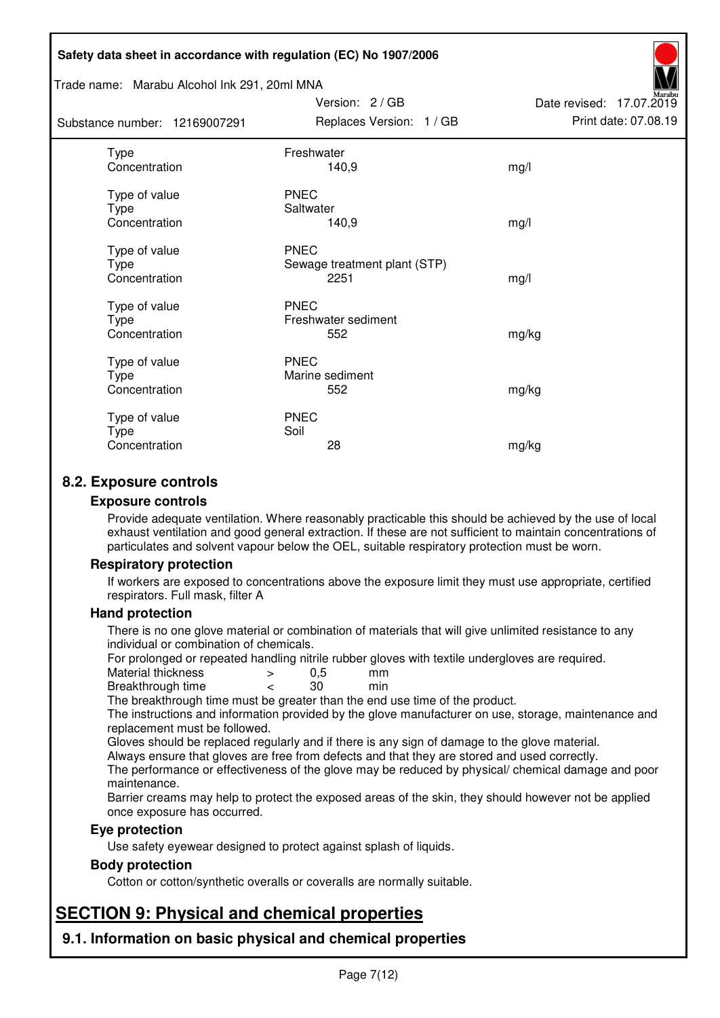#### Trade name: Marabu Alcohol Ink 291, 20ml MNA

| Substance number: 12169007291                 | Replaces Version: 1 / GB                            | Print date: 07.08.19 |
|-----------------------------------------------|-----------------------------------------------------|----------------------|
| <b>Type</b><br>Concentration                  | Freshwater<br>140,9                                 | mg/l                 |
| Type of value<br><b>Type</b><br>Concentration | <b>PNEC</b><br>Saltwater<br>140,9                   | mg/l                 |
| Type of value<br>Type<br>Concentration        | <b>PNEC</b><br>Sewage treatment plant (STP)<br>2251 | mg/l                 |
| Type of value<br>Type<br>Concentration        | <b>PNEC</b><br>Freshwater sediment<br>552           | mg/kg                |
| Type of value<br>Type<br>Concentration        | <b>PNEC</b><br>Marine sediment<br>552               | mg/kg                |
| Type of value<br>Type<br>Concentration        | <b>PNEC</b><br>Soil<br>28                           | mg/kg                |

Version: 2 / GB

Date revised: 17.07.2019

# **8.2. Exposure controls**

#### **Exposure controls**

Provide adequate ventilation. Where reasonably practicable this should be achieved by the use of local exhaust ventilation and good general extraction. If these are not sufficient to maintain concentrations of particulates and solvent vapour below the OEL, suitable respiratory protection must be worn.

#### **Respiratory protection**

If workers are exposed to concentrations above the exposure limit they must use appropriate, certified respirators. Full mask, filter A

#### **Hand protection**

There is no one glove material or combination of materials that will give unlimited resistance to any individual or combination of chemicals.

For prolonged or repeated handling nitrile rubber gloves with textile undergloves are required.<br>Material thickness  $\geq 0.5$  mm

- Material thickness  $\begin{array}{ccc} 0.5 \\ -8.5 \end{array}$  Material thickness  $\begin{array}{ccc} 0.5 \\ -8.5 \end{array}$
- Breakthrough time < 30 min

The breakthrough time must be greater than the end use time of the product.

The instructions and information provided by the glove manufacturer on use, storage, maintenance and replacement must be followed.

Gloves should be replaced regularly and if there is any sign of damage to the glove material.

Always ensure that gloves are free from defects and that they are stored and used correctly.

The performance or effectiveness of the glove may be reduced by physical/ chemical damage and poor maintenance.

Barrier creams may help to protect the exposed areas of the skin, they should however not be applied once exposure has occurred.

#### **Eye protection**

Use safety eyewear designed to protect against splash of liquids.

#### **Body protection**

Cotton or cotton/synthetic overalls or coveralls are normally suitable.

# **SECTION 9: Physical and chemical properties**

**9.1. Information on basic physical and chemical properties**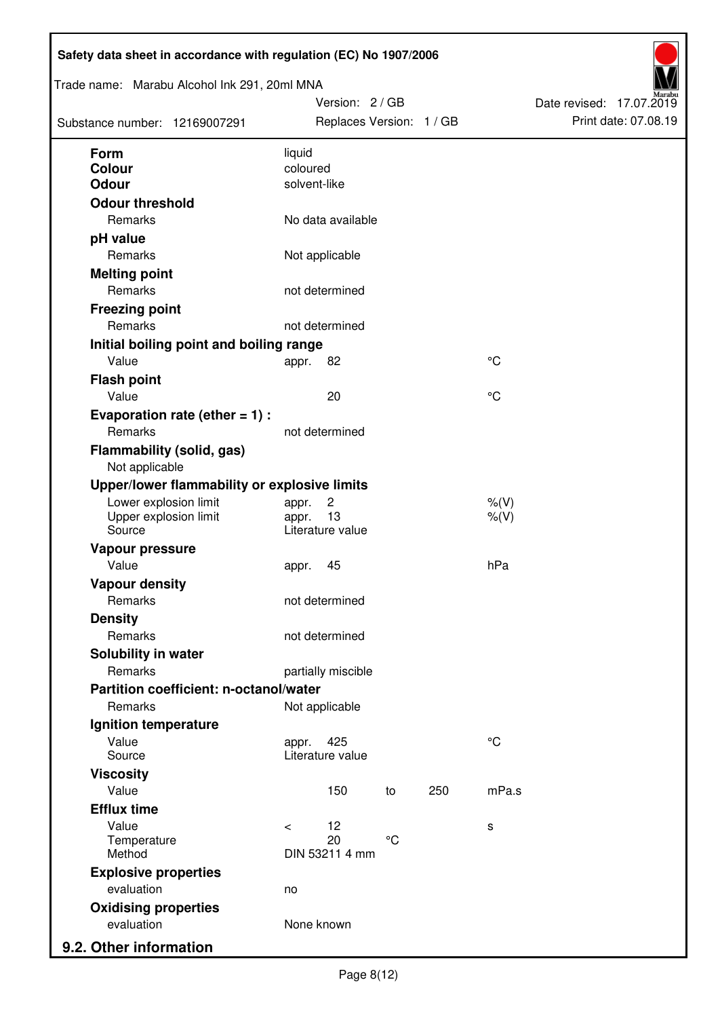| Trade name: Marabu Alcohol Ink 291, 20ml MNA       |            | Version: 2/GB            |              |     |             | Date revised: 17.07.2019 |                      |
|----------------------------------------------------|------------|--------------------------|--------------|-----|-------------|--------------------------|----------------------|
| Substance number: 12169007291                      |            | Replaces Version: 1 / GB |              |     |             |                          | Print date: 07.08.19 |
| Form                                               | liquid     |                          |              |     |             |                          |                      |
| Colour                                             | coloured   |                          |              |     |             |                          |                      |
| <b>Odour</b>                                       |            | solvent-like             |              |     |             |                          |                      |
| <b>Odour threshold</b>                             |            |                          |              |     |             |                          |                      |
| Remarks                                            |            | No data available        |              |     |             |                          |                      |
| pH value                                           |            |                          |              |     |             |                          |                      |
| Remarks                                            |            | Not applicable           |              |     |             |                          |                      |
| <b>Melting point</b>                               |            |                          |              |     |             |                          |                      |
| Remarks                                            |            | not determined           |              |     |             |                          |                      |
| <b>Freezing point</b>                              |            |                          |              |     |             |                          |                      |
| Remarks                                            |            | not determined           |              |     |             |                          |                      |
| Initial boiling point and boiling range            |            |                          |              |     |             |                          |                      |
| Value                                              | appr.      | 82                       |              |     | $^{\circ}C$ |                          |                      |
| <b>Flash point</b>                                 |            |                          |              |     |             |                          |                      |
| Value                                              |            | 20                       |              |     | $^{\circ}C$ |                          |                      |
| Evaporation rate (ether $= 1$ ) :                  |            |                          |              |     |             |                          |                      |
| Remarks                                            |            | not determined           |              |     |             |                          |                      |
| <b>Flammability (solid, gas)</b><br>Not applicable |            |                          |              |     |             |                          |                      |
| Upper/lower flammability or explosive limits       |            |                          |              |     |             |                          |                      |
| Lower explosion limit                              | appr.      | $\overline{c}$           |              |     | $%$ (V)     |                          |                      |
| Upper explosion limit                              | appr.      | 13                       |              |     | $%$ (V)     |                          |                      |
| Source                                             |            | Literature value         |              |     |             |                          |                      |
| Vapour pressure                                    |            |                          |              |     |             |                          |                      |
| Value                                              | appr.      | 45                       |              |     | hPa         |                          |                      |
| <b>Vapour density</b>                              |            |                          |              |     |             |                          |                      |
| Remarks                                            |            | not determined           |              |     |             |                          |                      |
| <b>Density</b>                                     |            |                          |              |     |             |                          |                      |
| Remarks                                            |            | not determined           |              |     |             |                          |                      |
| Solubility in water                                |            |                          |              |     |             |                          |                      |
| Remarks                                            |            | partially miscible       |              |     |             |                          |                      |
| Partition coefficient: n-octanol/water             |            |                          |              |     |             |                          |                      |
| Remarks                                            |            | Not applicable           |              |     |             |                          |                      |
| Ignition temperature                               |            |                          |              |     |             |                          |                      |
| Value<br>Source                                    | appr.      | 425<br>Literature value  |              |     | $^{\circ}C$ |                          |                      |
| <b>Viscosity</b>                                   |            |                          |              |     |             |                          |                      |
| Value                                              |            | 150                      | to           | 250 | mPa.s       |                          |                      |
| <b>Efflux time</b>                                 |            |                          |              |     |             |                          |                      |
| Value                                              | $\,<\,$    | 12                       |              |     | s           |                          |                      |
| Temperature<br>Method                              |            | 20<br>DIN 53211 4 mm     | $^{\circ}$ C |     |             |                          |                      |
|                                                    |            |                          |              |     |             |                          |                      |
| <b>Explosive properties</b><br>evaluation          |            |                          |              |     |             |                          |                      |
|                                                    | no         |                          |              |     |             |                          |                      |
| <b>Oxidising properties</b><br>evaluation          | None known |                          |              |     |             |                          |                      |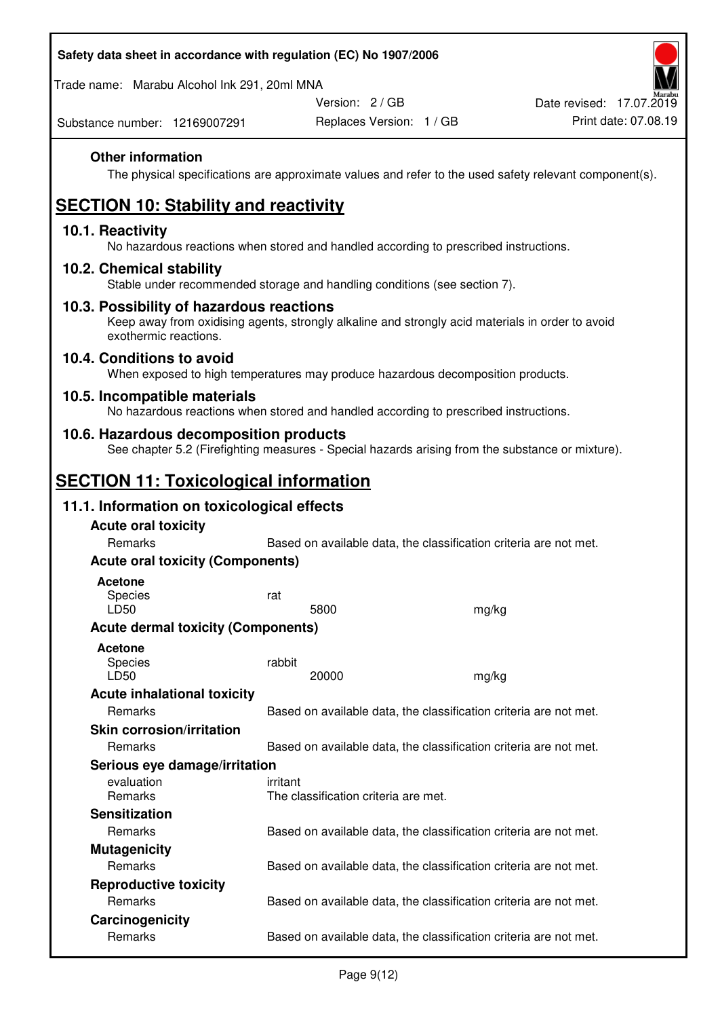| Safety data sheet in accordance with regulation (EC) No 1907/2006 |  |
|-------------------------------------------------------------------|--|
|-------------------------------------------------------------------|--|

Trade name: Marabu Alcohol Ink 291, 20ml MNA

Version: 2 / GB

Replaces Version: 1 / GB Print date: 07.08.19 Date revised: 17.07.2019

Substance number: 12169007291

#### **Other information**

The physical specifications are approximate values and refer to the used safety relevant component(s).

# **SECTION 10: Stability and reactivity**

#### **10.1. Reactivity**

No hazardous reactions when stored and handled according to prescribed instructions.

#### **10.2. Chemical stability**

Stable under recommended storage and handling conditions (see section 7).

#### **10.3. Possibility of hazardous reactions**

Keep away from oxidising agents, strongly alkaline and strongly acid materials in order to avoid exothermic reactions.

#### **10.4. Conditions to avoid**

When exposed to high temperatures may produce hazardous decomposition products.

#### **10.5. Incompatible materials**

No hazardous reactions when stored and handled according to prescribed instructions.

#### **10.6. Hazardous decomposition products**

See chapter 5.2 (Firefighting measures - Special hazards arising from the substance or mixture).

# **SECTION 11: Toxicological information**

#### **11.1. Information on toxicological effects**

| <b>Acute oral toxicity</b><br>Remarks     |          |                                      | Based on available data, the classification criteria are not met. |
|-------------------------------------------|----------|--------------------------------------|-------------------------------------------------------------------|
| <b>Acute oral toxicity (Components)</b>   |          |                                      |                                                                   |
| <b>Acetone</b><br><b>Species</b><br>LD50  | rat      | 5800                                 | mg/kg                                                             |
| <b>Acute dermal toxicity (Components)</b> |          |                                      |                                                                   |
| <b>Acetone</b><br>Species<br>LD50         | rabbit   | 20000                                | mg/kg                                                             |
| <b>Acute inhalational toxicity</b>        |          |                                      |                                                                   |
| <b>Remarks</b>                            |          |                                      | Based on available data, the classification criteria are not met. |
| <b>Skin corrosion/irritation</b>          |          |                                      |                                                                   |
| Remarks                                   |          |                                      | Based on available data, the classification criteria are not met. |
| Serious eye damage/irritation             |          |                                      |                                                                   |
| evaluation<br><b>Remarks</b>              | irritant | The classification criteria are met. |                                                                   |
| <b>Sensitization</b>                      |          |                                      |                                                                   |
| Remarks                                   |          |                                      | Based on available data, the classification criteria are not met. |
| <b>Mutagenicity</b>                       |          |                                      |                                                                   |
| Remarks                                   |          |                                      | Based on available data, the classification criteria are not met. |
| <b>Reproductive toxicity</b>              |          |                                      |                                                                   |
| <b>Remarks</b>                            |          |                                      | Based on available data, the classification criteria are not met. |
| Carcinogenicity                           |          |                                      |                                                                   |
| Remarks                                   |          |                                      | Based on available data, the classification criteria are not met. |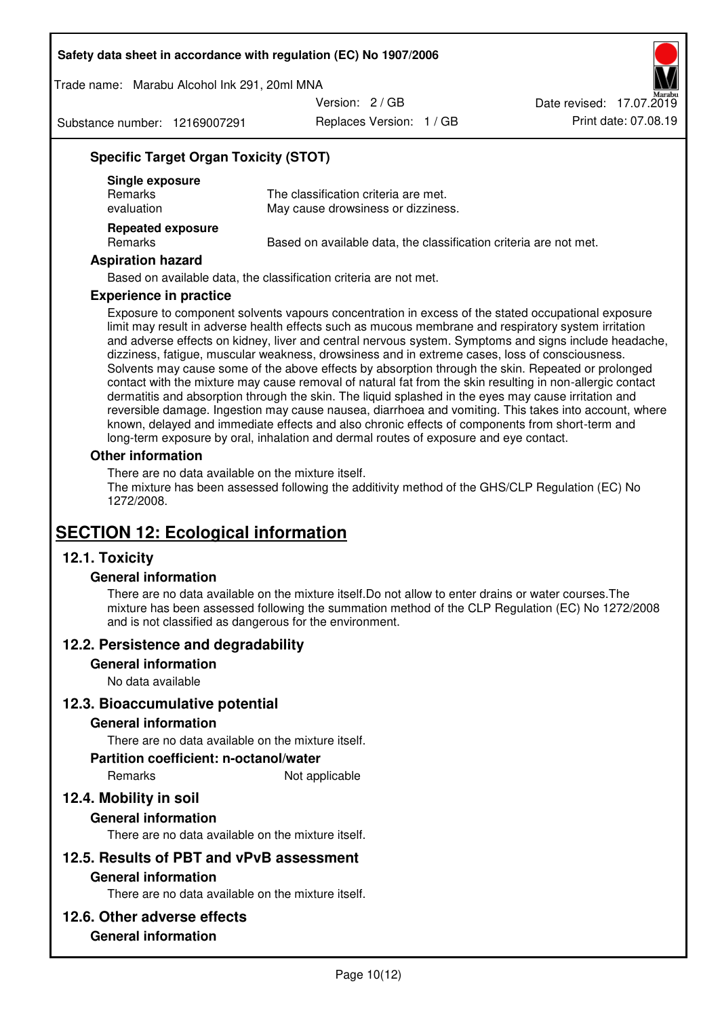Trade name: Marabu Alcohol Ink 291, 20ml MNA

Version: 2 / GB

Substance number: 12169007291

Replaces Version: 1 / GB Print date: 07.08.19 Date revised: 17.07.2019

# **Specific Target Organ Toxicity (STOT)**

| Single exposure<br><b>Remarks</b><br>evaluation | The classification criteria are met.<br>May cause drowsiness or dizziness. |
|-------------------------------------------------|----------------------------------------------------------------------------|
| <b>Repeated exposure</b><br>Remarks             | Based on available data, the classification criteria are not met.          |

#### **Aspiration hazard**

Based on available data, the classification criteria are not met.

#### **Experience in practice**

Exposure to component solvents vapours concentration in excess of the stated occupational exposure limit may result in adverse health effects such as mucous membrane and respiratory system irritation and adverse effects on kidney, liver and central nervous system. Symptoms and signs include headache, dizziness, fatigue, muscular weakness, drowsiness and in extreme cases, loss of consciousness. Solvents may cause some of the above effects by absorption through the skin. Repeated or prolonged contact with the mixture may cause removal of natural fat from the skin resulting in non-allergic contact dermatitis and absorption through the skin. The liquid splashed in the eyes may cause irritation and reversible damage. Ingestion may cause nausea, diarrhoea and vomiting. This takes into account, where known, delayed and immediate effects and also chronic effects of components from short-term and long-term exposure by oral, inhalation and dermal routes of exposure and eye contact.

#### **Other information**

There are no data available on the mixture itself. The mixture has been assessed following the additivity method of the GHS/CLP Regulation (EC) No 1272/2008.

# **SECTION 12: Ecological information**

# **12.1. Toxicity**

#### **General information**

There are no data available on the mixture itself.Do not allow to enter drains or water courses.The mixture has been assessed following the summation method of the CLP Regulation (EC) No 1272/2008 and is not classified as dangerous for the environment.

#### **12.2. Persistence and degradability**

#### **General information**

No data available

#### **12.3. Bioaccumulative potential**

#### **General information**

There are no data available on the mixture itself.

#### **Partition coefficient: n-octanol/water**

Remarks Not applicable

# **12.4. Mobility in soil**

#### **General information**

There are no data available on the mixture itself.

#### **12.5. Results of PBT and vPvB assessment**

#### **General information**

There are no data available on the mixture itself.

#### **12.6. Other adverse effects**

## **General information**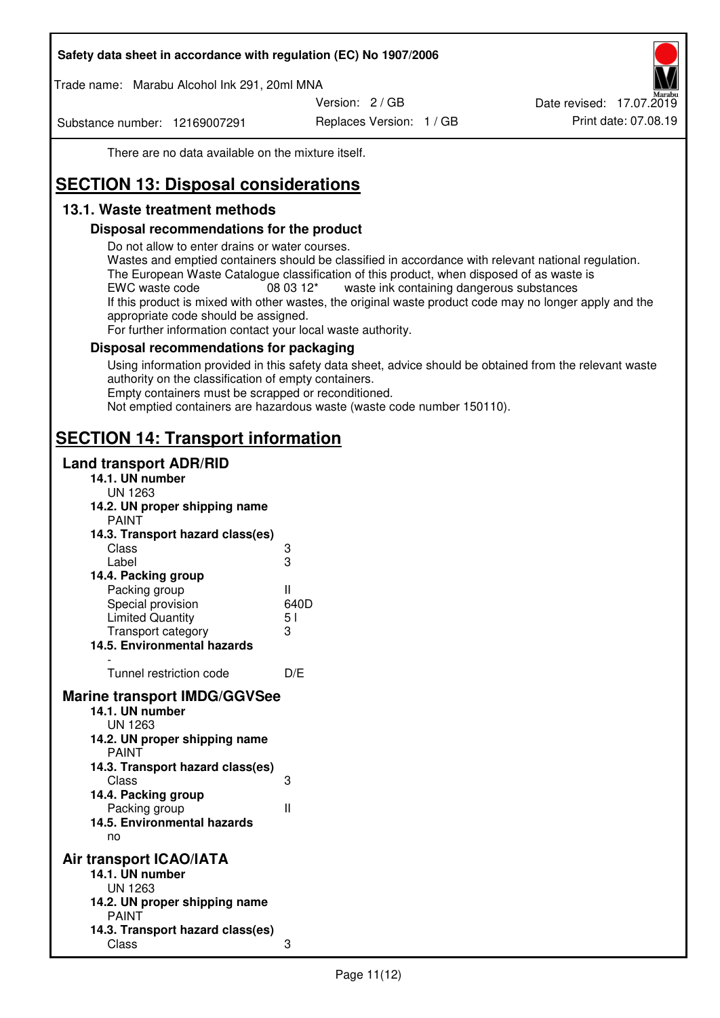Trade name: Marabu Alcohol Ink 291, 20ml MNA

Version: 2 / GB

Substance number: 12169007291

Replaces Version: 1 / GB Print date: 07.08.19 Date revised: 17.07.2019

There are no data available on the mixture itself.

# **SECTION 13: Disposal considerations**

# **13.1. Waste treatment methods**

#### **Disposal recommendations for the product**

Do not allow to enter drains or water courses.

Wastes and emptied containers should be classified in accordance with relevant national regulation. The European Waste Catalogue classification of this product, when disposed of as waste is EWC waste code  $08\,03\,12^*$  waste ink containing dangerous substances If this product is mixed with other wastes, the original waste product code may no longer apply and the appropriate code should be assigned.

For further information contact your local waste authority.

#### **Disposal recommendations for packaging**

Using information provided in this safety data sheet, advice should be obtained from the relevant waste authority on the classification of empty containers. Empty containers must be scrapped or reconditioned.

Not emptied containers are hazardous waste (waste code number 150110).

# **SECTION 14: Transport information**

#### **Land transport ADR/RID**

| 14.1. UN number<br><b>UN 1263</b>                                                                                                                                                                                                            |                   |
|----------------------------------------------------------------------------------------------------------------------------------------------------------------------------------------------------------------------------------------------|-------------------|
| 14.2. UN proper shipping name                                                                                                                                                                                                                |                   |
| <b>PAINT</b>                                                                                                                                                                                                                                 |                   |
| 14.3. Transport hazard class(es)                                                                                                                                                                                                             |                   |
| Class                                                                                                                                                                                                                                        |                   |
| Label                                                                                                                                                                                                                                        | ვ<br>ვ            |
| 14.4. Packing group                                                                                                                                                                                                                          |                   |
| Packing group                                                                                                                                                                                                                                | Ш                 |
| Special provision                                                                                                                                                                                                                            | 640D              |
| <b>Limited Quantity</b>                                                                                                                                                                                                                      | 5 <sub>1</sub>    |
| Transport category                                                                                                                                                                                                                           | 3                 |
| 14.5. Environmental hazards                                                                                                                                                                                                                  |                   |
| Tunnel restriction code                                                                                                                                                                                                                      | D/E               |
|                                                                                                                                                                                                                                              |                   |
| <b>Marine transport IMDG/GGVSee</b><br>14.1. UN number<br>UN 1263<br>14.2. UN proper shipping name<br><b>PAINT</b><br>14.3. Transport hazard class(es)<br>Class<br>14.4. Packing group<br>Packing group<br>14.5. Environmental hazards<br>no | 3<br>$\mathbf{I}$ |
| Air transport ICAO/IATA                                                                                                                                                                                                                      |                   |
| 14.1. UN number                                                                                                                                                                                                                              |                   |
| UN 1263                                                                                                                                                                                                                                      |                   |
| 14.2. UN proper shipping name<br><b>PAINT</b>                                                                                                                                                                                                |                   |
| 14.3. Transport hazard class(es)                                                                                                                                                                                                             |                   |
| Class                                                                                                                                                                                                                                        | 3                 |
|                                                                                                                                                                                                                                              |                   |